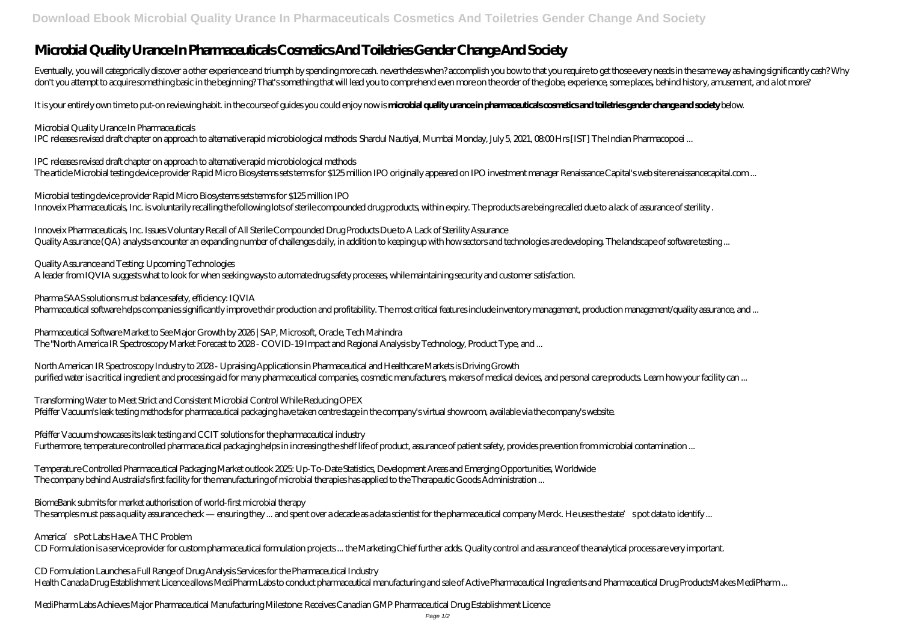# **Microbial Quality Urance In Pharmaceuticals Cosmetics And Toiletries Gender Change And Society**

Eventually, you will categorically discover a other experience and triumph by spending more cash, nevertheless when? accomplish you bow to that you require to get those every needs in the same way as having significantly c don't you attempt to acquire something basic in the beginning? That's something that will lead you to comprehend even more on the order of the globe, experience, some places, behind history, amusement, and a lot more?

It is your entirely own time to put-on reviewing habit. in the course of guides you could enjoy now is **microbial quality urance in pharmaceuticals cosmetics and toiletries gender change and society** below.

### *Microbial Quality Urance In Pharmaceuticals*

IPC releases revised draft chapter on approach to alternative rapid microbiological methods. Shardul Nautiyal, Mumbai Monday, July 5, 2021, 08:00 Hrs [IST] The Indian Pharmacopoei ...

*Pharma SAAS solutions must balance safety, efficiency: IQVIA* Pharmaceutical software helps companies significantly improve their production and profitability. The most critical features include inventory management, production management/quality assurance, and ...

*IPC releases revised draft chapter on approach to alternative rapid microbiological methods* The article Microbial testing device provider Rapid Micro Biosystems sets terms for \$125 million IPO originally appeared on IPO investment manager Renaissance Capital's web site renaissancecapital.com ...

*North American IR Spectroscopy Industry to 2028 - Upraising Applications in Pharmaceutical and Healthcare Markets is Driving Growth* purified water is a critical ingredient and processing aid for many pharmaceutical companies, cosmetic manufacturers, makers of medical devices, and personal care products. Learn how your facility can ...

*Microbial testing device provider Rapid Micro Biosystems sets terms for \$125 million IPO* Innoveix Pharmaceuticals, Inc. is voluntarily recalling the following lots of sterile compounded drug products, within expiry. The products are being recalled due to a lack of assurance of sterility .

*Pfeiffer Vacuum showcases its leak testing and CCIT solutions for the pharmaceutical industry* Furthermore, temperature controlled pharmaceutical packaging helps in increasing the shelf life of product, assurance of patient safety, provides prevention from microbial contamination ...

*Innoveix Pharmaceuticals, Inc. Issues Voluntary Recall of All Sterile Compounded Drug Products Due to A Lack of Sterility Assurance* Quality Assurance (QA) analysts encounter an expanding number of challenges daily, in addition to keeping up with how sectors and technologies are developing. The landscape of software testing ...

*BiomeBank submits for market authorisation of world-first microbial therapy* The samples must pass a quality assurance check — ensuring they ... and spent over a decade as a data scientist for the pharmaceutical company Merck. He uses the state's pot data to identify ...

*Quality Assurance and Testing: Upcoming Technologies* A leader from IQVIA suggests what to look for when seeking ways to automate drug safety processes, while maintaining security and customer satisfaction.

*Pharmaceutical Software Market to See Major Growth by 2026 | SAP, Microsoft, Oracle, Tech Mahindra* The "North America IR Spectroscopy Market Forecast to 2028 - COVID-19 Impact and Regional Analysis by Technology, Product Type, and ...

*Transforming Water to Meet Strict and Consistent Microbial Control While Reducing OPEX* Pfeiffer Vacuum's leak testing methods for pharmaceutical packaging have taken centre stage in the company's virtual showroom, available via the company's website.

*Temperature Controlled Pharmaceutical Packaging Market outlook 2025: Up-To-Date Statistics, Development Areas and Emerging Opportunities, Worldwide* The company behind Australia's first facility for the manufacturing of microbial therapies has applied to the Therapeutic Goods Administration ...

#### *America's Pot Labs Have A THC Problem*

CD Formulation is a service provider for custom pharmaceutical formulation projects ... the Marketing Chief further adds. Quality control and assurance of the analytical process are very important.

*CD Formulation Launches a Full Range of Drug Analysis Services for the Pharmaceutical Industry* Health Canada Drug Establishment Licence allows MediPharm Labs to conduct pharmaceutical manufacturing and sale of Active Pharmaceutical Ingredients and Pharmaceutical Drug ProductsMakes MediPharm ...

*MediPharm Labs Achieves Major Pharmaceutical Manufacturing Milestone: Receives Canadian GMP Pharmaceutical Drug Establishment Licence*